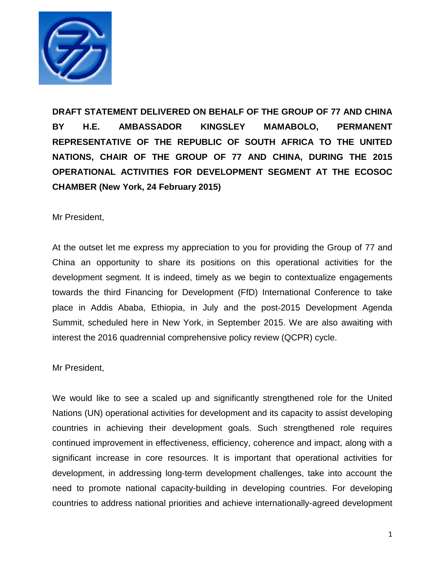

**DRAFT STATEMENT DELIVERED ON BEHALF OF THE GROUP OF 77 AND CHINA BY H.E. AMBASSADOR KINGSLEY MAMABOLO, PERMANENT REPRESENTATIVE OF THE REPUBLIC OF SOUTH AFRICA TO THE UNITED NATIONS, CHAIR OF THE GROUP OF 77 AND CHINA, DURING THE 2015 OPERATIONAL ACTIVITIES FOR DEVELOPMENT SEGMENT AT THE ECOSOC CHAMBER (New York, 24 February 2015)** 

Mr President,

At the outset let me express my appreciation to you for providing the Group of 77 and China an opportunity to share its positions on this operational activities for the development segment. It is indeed, timely as we begin to contextualize engagements towards the third Financing for Development (FfD) International Conference to take place in Addis Ababa, Ethiopia, in July and the post-2015 Development Agenda Summit, scheduled here in New York, in September 2015. We are also awaiting with interest the 2016 quadrennial comprehensive policy review (QCPR) cycle.

Mr President,

We would like to see a scaled up and significantly strengthened role for the United Nations (UN) operational activities for development and its capacity to assist developing countries in achieving their development goals. Such strengthened role requires continued improvement in effectiveness, efficiency, coherence and impact, along with a significant increase in core resources. It is important that operational activities for development, in addressing long-term development challenges, take into account the need to promote national capacity-building in developing countries. For developing countries to address national priorities and achieve internationally-agreed development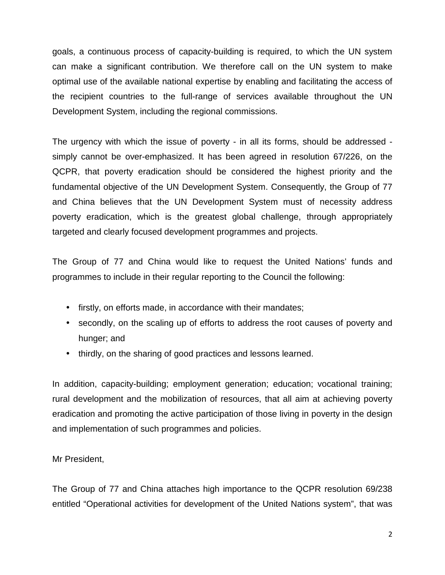goals, a continuous process of capacity-building is required, to which the UN system can make a significant contribution. We therefore call on the UN system to make optimal use of the available national expertise by enabling and facilitating the access of the recipient countries to the full-range of services available throughout the UN Development System, including the regional commissions.

The urgency with which the issue of poverty - in all its forms, should be addressed simply cannot be over-emphasized. It has been agreed in resolution 67/226, on the QCPR, that poverty eradication should be considered the highest priority and the fundamental objective of the UN Development System. Consequently, the Group of 77 and China believes that the UN Development System must of necessity address poverty eradication, which is the greatest global challenge, through appropriately targeted and clearly focused development programmes and projects.

The Group of 77 and China would like to request the United Nations' funds and programmes to include in their regular reporting to the Council the following:

- firstly, on efforts made, in accordance with their mandates;
- secondly, on the scaling up of efforts to address the root causes of poverty and hunger; and
- thirdly, on the sharing of good practices and lessons learned.

In addition, capacity-building; employment generation; education; vocational training; rural development and the mobilization of resources, that all aim at achieving poverty eradication and promoting the active participation of those living in poverty in the design and implementation of such programmes and policies.

Mr President,

The Group of 77 and China attaches high importance to the QCPR resolution 69/238 entitled "Operational activities for development of the United Nations system", that was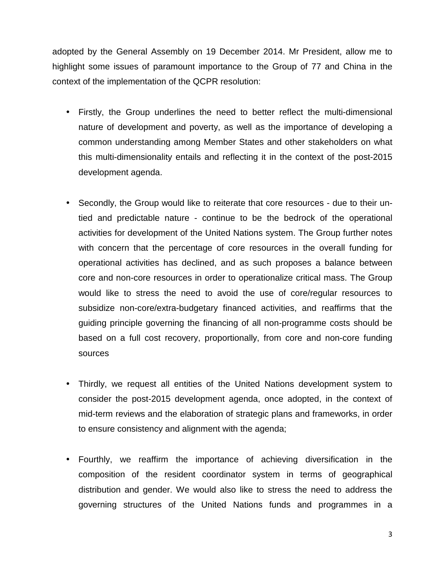adopted by the General Assembly on 19 December 2014. Mr President, allow me to highlight some issues of paramount importance to the Group of 77 and China in the context of the implementation of the QCPR resolution:

- Firstly, the Group underlines the need to better reflect the multi-dimensional nature of development and poverty, as well as the importance of developing a common understanding among Member States and other stakeholders on what this multi-dimensionality entails and reflecting it in the context of the post-2015 development agenda.
- Secondly, the Group would like to reiterate that core resources due to their untied and predictable nature - continue to be the bedrock of the operational activities for development of the United Nations system. The Group further notes with concern that the percentage of core resources in the overall funding for operational activities has declined, and as such proposes a balance between core and non-core resources in order to operationalize critical mass. The Group would like to stress the need to avoid the use of core/regular resources to subsidize non-core/extra-budgetary financed activities, and reaffirms that the guiding principle governing the financing of all non-programme costs should be based on a full cost recovery, proportionally, from core and non-core funding sources
- Thirdly, we request all entities of the United Nations development system to consider the post-2015 development agenda, once adopted, in the context of mid-term reviews and the elaboration of strategic plans and frameworks, in order to ensure consistency and alignment with the agenda;
- Fourthly, we reaffirm the importance of achieving diversification in the composition of the resident coordinator system in terms of geographical distribution and gender. We would also like to stress the need to address the governing structures of the United Nations funds and programmes in a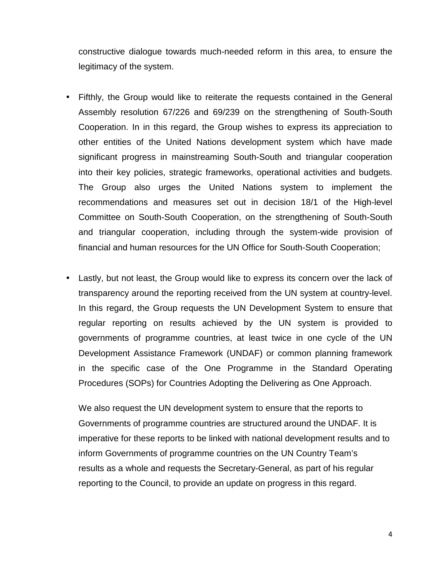constructive dialogue towards much-needed reform in this area, to ensure the legitimacy of the system.

- Fifthly, the Group would like to reiterate the requests contained in the General Assembly resolution 67/226 and 69/239 on the strengthening of South-South Cooperation. In in this regard, the Group wishes to express its appreciation to other entities of the United Nations development system which have made significant progress in mainstreaming South-South and triangular cooperation into their key policies, strategic frameworks, operational activities and budgets. The Group also urges the United Nations system to implement the recommendations and measures set out in decision 18/1 of the High-level Committee on South-South Cooperation, on the strengthening of South-South and triangular cooperation, including through the system-wide provision of financial and human resources for the UN Office for South-South Cooperation;
- Lastly, but not least, the Group would like to express its concern over the lack of transparency around the reporting received from the UN system at country-level. In this regard, the Group requests the UN Development System to ensure that regular reporting on results achieved by the UN system is provided to governments of programme countries, at least twice in one cycle of the UN Development Assistance Framework (UNDAF) or common planning framework in the specific case of the One Programme in the Standard Operating Procedures (SOPs) for Countries Adopting the Delivering as One Approach.

We also request the UN development system to ensure that the reports to Governments of programme countries are structured around the UNDAF. It is imperative for these reports to be linked with national development results and to inform Governments of programme countries on the UN Country Team's results as a whole and requests the Secretary-General, as part of his regular reporting to the Council, to provide an update on progress in this regard.